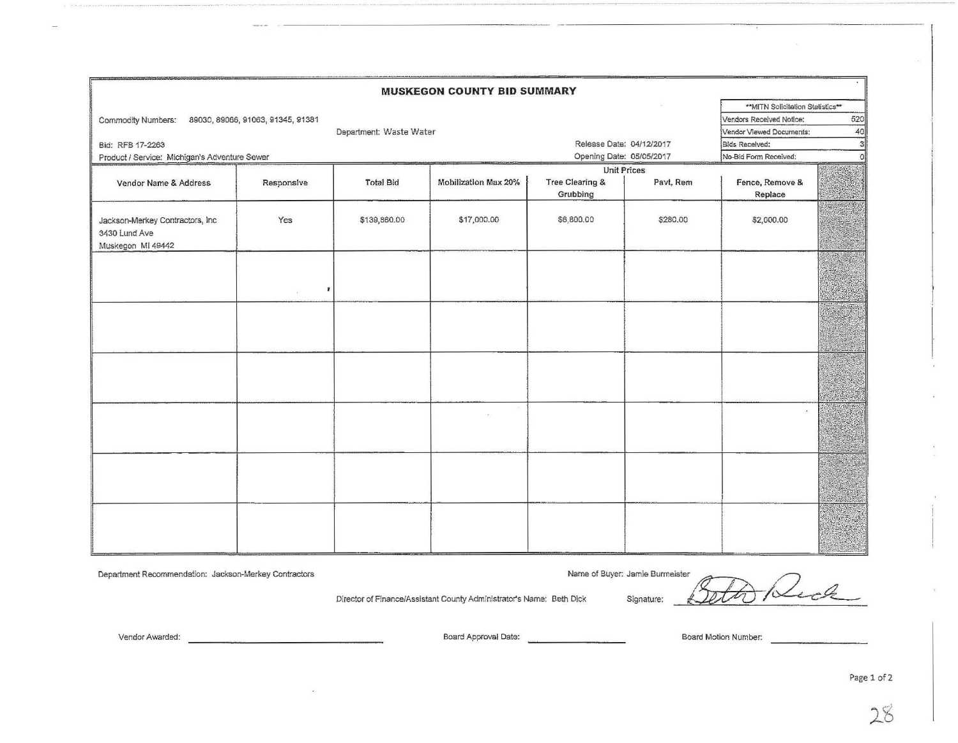| <b>MUSKEGON COUNTY BID SUMMARY</b>                                     |                                   |                                   |                          |                                        |                                       |                            |  |  |  |  |  |  |
|------------------------------------------------------------------------|-----------------------------------|-----------------------------------|--------------------------|----------------------------------------|---------------------------------------|----------------------------|--|--|--|--|--|--|
|                                                                        |                                   | ** MITN Solicitation Statistics** |                          |                                        |                                       |                            |  |  |  |  |  |  |
| Commodity Numbers:                                                     | 89030, 89066, 91063, 91345, 91381 |                                   |                          | Vendors Received Notice:               | 520                                   |                            |  |  |  |  |  |  |
|                                                                        | Department: Waste Water           |                                   |                          | Vendor Vlewed Documents:               | 40                                    |                            |  |  |  |  |  |  |
| Bid: RFB 17-2263                                                       |                                   |                                   | Release Date: 04/12/2017 |                                        | 3 <sup>1</sup><br>Bids Received:      |                            |  |  |  |  |  |  |
| Product / Service: Michigan's Adventure Sewer                          |                                   |                                   | Opening Date: 05/05/2017 |                                        | No-Bid Form Received:<br><sup>o</sup> |                            |  |  |  |  |  |  |
|                                                                        |                                   |                                   |                          | <b>Unit Prices</b>                     |                                       |                            |  |  |  |  |  |  |
| Vendor Name & Address                                                  | Responsive                        | <b>Total Bid</b>                  | Mobilization Max 20%     | <b>Tree Clearing &amp;</b><br>Grubbing | Pavt, Rem                             | Fence, Remove &<br>Replace |  |  |  |  |  |  |
| Jackson-Merkey Contractors, Inc.<br>3430 Lund Ave<br>Muskegon MI 49442 | Yes                               | \$139,860.00                      | \$17,000.00              | \$6,800.00                             | \$280.00                              | \$2,000.00                 |  |  |  |  |  |  |
|                                                                        | ,                                 |                                   |                          |                                        |                                       |                            |  |  |  |  |  |  |
|                                                                        |                                   |                                   |                          |                                        |                                       |                            |  |  |  |  |  |  |
|                                                                        |                                   |                                   |                          |                                        |                                       |                            |  |  |  |  |  |  |
|                                                                        |                                   |                                   |                          |                                        |                                       |                            |  |  |  |  |  |  |
|                                                                        |                                   |                                   |                          |                                        |                                       |                            |  |  |  |  |  |  |
|                                                                        |                                   |                                   |                          |                                        |                                       |                            |  |  |  |  |  |  |

Department Recommendation: Jackson-Merkey Contractors

Vendor Awarded:

Name of Buyer: Jamie Burmeister

Name of Buyer: Jamle Burmeister<br>Beth Dick Signature: <u>Setto Reck</u>

Director of Finance/Assistant County Administrator's Name:

Board Approval Date: **Board Motion Number:** Board Motion Number:

Page 1 of 2

28